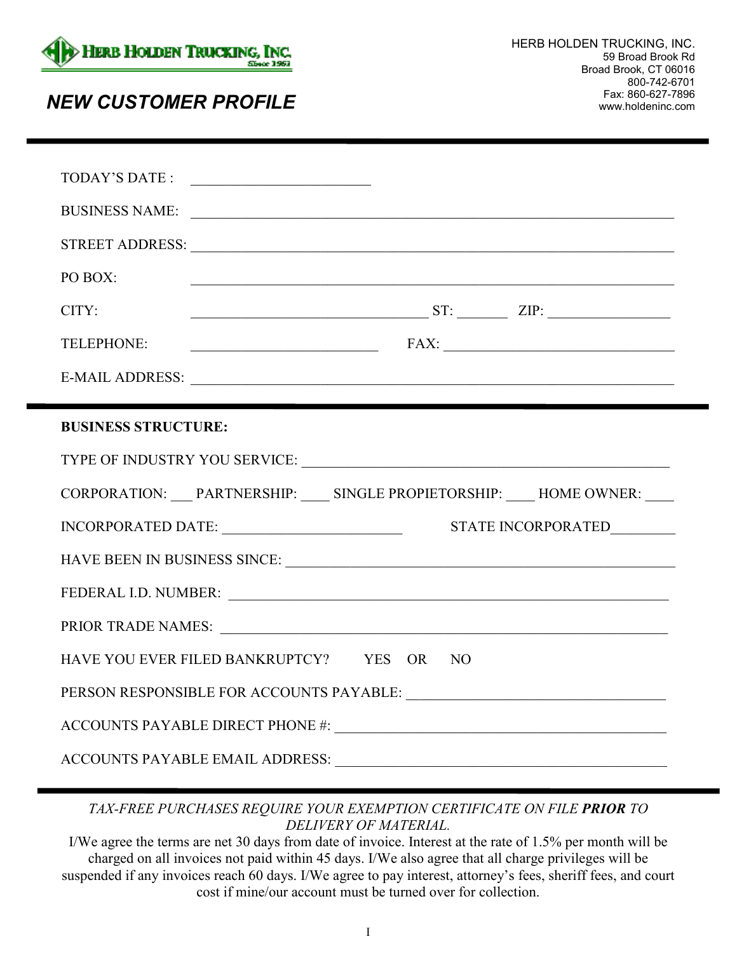

## Fax: 860-627-7896 *NEW CUSTOMER PROFILE* www.holdeninc.com

|                            | BUSINESS NAME:                                                         |  |
|----------------------------|------------------------------------------------------------------------|--|
|                            |                                                                        |  |
| PO BOX:                    |                                                                        |  |
| CITY:                      | $ST:$ $ZIP:$ $\qquad \qquad \qquad \qquad \qquad \qquad \qquad \qquad$ |  |
| TELEPHONE:                 | FAX:                                                                   |  |
|                            |                                                                        |  |
|                            |                                                                        |  |
| <b>BUSINESS STRUCTURE:</b> |                                                                        |  |
|                            |                                                                        |  |
|                            |                                                                        |  |
|                            | CORPORATION: PARTNERSHIP: SINGLE PROPIETORSHIP: HOME OWNER:            |  |
|                            |                                                                        |  |
|                            |                                                                        |  |
|                            |                                                                        |  |
|                            |                                                                        |  |
|                            | HAVE YOU EVER FILED BANKRUPTCY? YES OR NO                              |  |
|                            |                                                                        |  |
|                            |                                                                        |  |

## *TAX-FREE PURCHASES REQUIRE YOUR EXEMPTION CERTIFICATE ON FILE PRIOR TO DELIVERY OF MATERIAL.*

I/We agree the terms are net 30 days from date of invoice. Interest at the rate of 1.5% per month will be charged on all invoices not paid within 45 days. I/We also agree that all charge privileges will be suspended if any invoices reach 60 days. I/We agree to pay interest, attorney's fees, sheriff fees, and court cost if mine/our account must be turned over for collection.